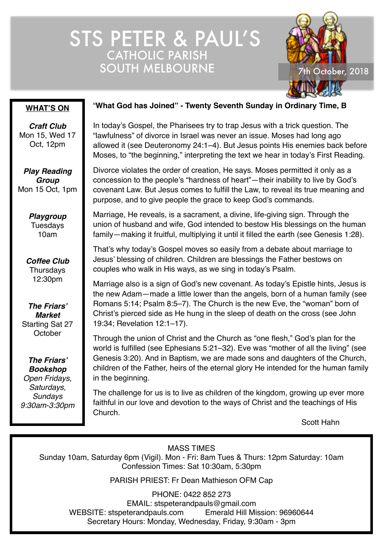# STS PETER & PAUL'S CATHOLIC PARISH SOUTH MELBOURNE 7th October, 2018



#### **WHAT'S ON**

*Craft Club* Mon 15, Wed 17 Oct, 12pm

*Play Reading Group* Mon 15 Oct, 1pm

> *Playgroup* **Tuesdays** 10am

*Coffee Club* **Thursdays** 12:30pm

*The Friars' Market* Starting Sat 27 **October** 

*The Friars' Bookshop Open Fridays, Saturdays, Sundays 9:30am-3:30pm*

#### "**What God has Joined" - Twenty Seventh Sunday in Ordinary Time, B**

In today's Gospel, the Pharisees try to trap Jesus with a trick question. The "lawfulness" of divorce in Israel was never an issue. Moses had long ago allowed it (see Deuteronomy 24:1–4). But Jesus points His enemies back before Moses, to "the beginning," interpreting the text we hear in today's First Reading.

Divorce violates the order of creation, He says. Moses permitted it only as a concession to the people's "hardness of heart"—their inability to live by God's covenant Law. But Jesus comes to fulfill the Law, to reveal its true meaning and purpose, and to give people the grace to keep God's commands.

Marriage, He reveals, is a sacrament, a divine, life-giving sign. Through the union of husband and wife, God intended to bestow His blessings on the human family—making it fruitful, multiplying it until it filled the earth (see Genesis 1:28).

That's why today's Gospel moves so easily from a debate about marriage to Jesus' blessing of children. Children are blessings the Father bestows on couples who walk in His ways, as we sing in today's Psalm.

Marriage also is a sign of God's new covenant. As today's Epistle hints, Jesus is the new Adam—made a little lower than the angels, born of a human family (see Romans 5:14; Psalm 8:5–7). The Church is the new Eve, the "woman" born of Christ's pierced side as He hung in the sleep of death on the cross (see John 19:34; Revelation 12:1–17).

Through the union of Christ and the Church as "one flesh," God's plan for the world is fulfilled (see Ephesians 5:21–32). Eve was "mother of all the living" (see Genesis 3:20). And in Baptism, we are made sons and daughters of the Church, children of the Father, heirs of the eternal glory He intended for the human family in the beginning.

The challenge for us is to live as children of the kingdom, growing up ever more faithful in our love and devotion to the ways of Christ and the teachings of His Church.

Scott Hahn

MASS TIMES

Sunday 10am, Saturday 6pm (Vigil). Mon - Fri: 8am Tues & Thurs: 12pm Saturday: 10am Confession Times: Sat 10:30am, 5:30pm

PARISH PRIEST: Fr Dean Mathieson OFM Cap

PHONE: 0422 852 273 EMAIL: stspeterandpauls@gmail.com WEBSITE: stspeterandpauls.com Emerald Hill Mission: 96960644 Secretary Hours: Monday, Wednesday, Friday, 9:30am - 3pm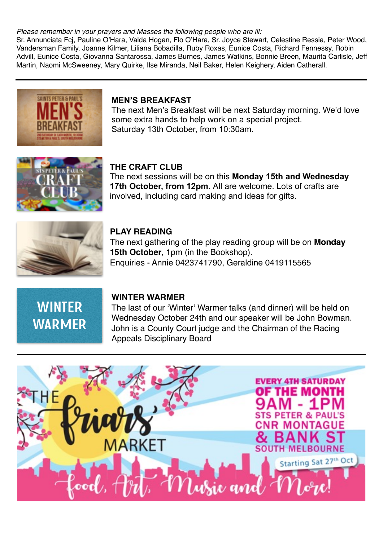#### *Please remember in your prayers and Masses the following people who are ill:*

Sr. Annunciata Fcj, Pauline O'Hara, Valda Hogan, Flo O'Hara, Sr. Joyce Stewart, Celestine Ressia, Peter Wood, Vandersman Family, Joanne Kilmer, Liliana Bobadilla, Ruby Roxas, Eunice Costa, Richard Fennessy, Robin Advill, Eunice Costa, Giovanna Santarossa, James Burnes, James Watkins, Bonnie Breen, Maurita Carlisle, Jeff Martin, Naomi McSweeney, Mary Quirke, Ilse Miranda, Neil Baker, Helen Keighery, Aiden Catherall.



#### **MEN'S BREAKFAST**

The next Men's Breakfast will be next Saturday morning. We'd love some extra hands to help work on a special project. Saturday 13th October, from 10:30am.



#### **THE CRAFT CLUB**

The next sessions will be on this **Monday 15th and Wednesday 17th October, from 12pm.** All are welcome. Lots of crafts are involved, including card making and ideas for gifts.



#### **PLAY READING**

The next gathering of the play reading group will be on **Monday 15th October**, 1pm (in the Bookshop). Enquiries - Annie 0423741790, Geraldine 0419115565



#### **WINTER WARMER**

The last of our 'Winter' Warmer talks (and dinner) will be held on Wednesday October 24th and our speaker will be John Bowman. John is a County Court judge and the Chairman of the Racing Appeals Disciplinary Board